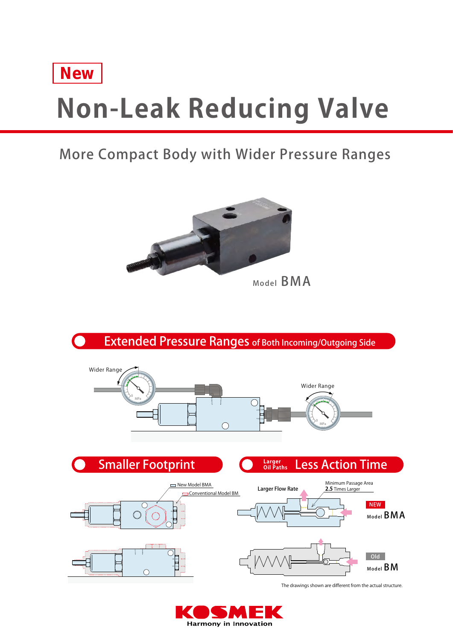

# **Non-Leak Reducing Valve**

## More Compact Body with Wider Pressure Ranges





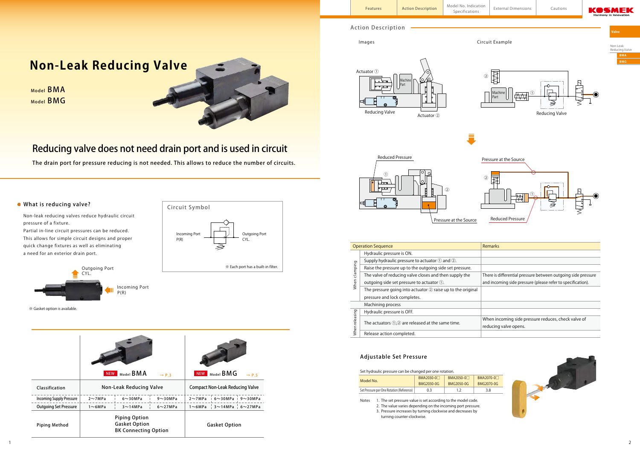

#### Valve

Non-Leak Reducing Valve

Model BMA Model BMG





Reducing Valve

### Adjustable Set Pressure

Actuator ①

Notes 1. The set pressure value is set according to the model code. 2. The value varies depending on the incoming port pressure. 3. Pressure increases by turning clockwise and decreases by

|  | Set hydraulic pressure can be changed per one rotation. |                        |            |           |  |  |
|--|---------------------------------------------------------|------------------------|------------|-----------|--|--|
|  | Model No.                                               | BMA2030-0 <sup>-</sup> | BMA2050-0  | <b>BM</b> |  |  |
|  |                                                         | BMG2030-0G             | BMG2050-0G | <b>BN</b> |  |  |
|  | Set Pressure per One Rotation (Reference)               | 03                     | 12         |           |  |  |



turning counter-clockwise.

## Reducing valve does not need drain port and is used in circuit

The drain port for pressure reducing is not needed. This allows to reduce the number of circuits.

## **Non-Leak Reducing Valve**



### What is reducing valve?

Non-leak reducing valves reduce hydraulic circuit pressure of a fixture.

|                                 | Model BMA<br><b>NEW</b><br>$\rightarrow$ P.3                                | Model BMG<br>NEW<br>$\rightarrow$ P.5                      |  |  |
|---------------------------------|-----------------------------------------------------------------------------|------------------------------------------------------------|--|--|
| Classification                  | <b>Non-Leak Reducing Valve</b>                                              | <b>Compact Non-Leak Reducing Valve</b>                     |  |  |
| <b>Incoming Supply Pressure</b> | $2 \sim 7MPa$<br>$6 \sim 30 MPa$<br>$9\sim30MPa$                            | $2 \sim 7MPa + 6 \sim 30MPa + 9 \sim 30MPa$                |  |  |
| <b>Outgoing Set Pressure</b>    | $1 \sim 6 MPa$<br>$3 \sim 14 MPa$<br>$6 \sim 27 MPa$                        | $1\sim$ 6MPa $\vert$ 3 $\sim$ 14MPa $\vert$ 6 $\sim$ 27MPa |  |  |
| <b>Piping Method</b>            | <b>Piping Option</b><br><b>Gasket Option</b><br><b>BK Connecting Option</b> | <b>Gasket Option</b>                                       |  |  |







Partial in-line circuit pressures can be reduced. This allows for simple circuit designs and proper quick change fixtures as well as eliminating a need for an exterior drain port.

※ Gasket option is available.



|                | <b>Operation Sequence</b>                                           |  |
|----------------|---------------------------------------------------------------------|--|
|                | Hydraulic pressure is ON.                                           |  |
|                | Supply hydraulic pressure to actuator 1 and 2.                      |  |
|                | Raise the pressure up to the outgoing side set pressure.            |  |
| When clamping  | The valve of reducing valve closes and then supply the              |  |
|                | outgoing side set pressure to actuator 1.                           |  |
|                | The pressure going into actuator $\oslash$ raise up to the original |  |
|                | pressure and lock completes.                                        |  |
|                | Machining process                                                   |  |
|                | Hydraulic pressure is OFF.                                          |  |
| When releasing |                                                                     |  |
|                | The actuators $(1,2)$ are released at the same time.                |  |
|                | Release action completed.                                           |  |
|                |                                                                     |  |

#### Remarks

There is differential pressure between outgoing side pressure and incoming side pressure (please refer to specification).

When incoming side pressure reduces, check valve of reducing valve opens.

Machine Part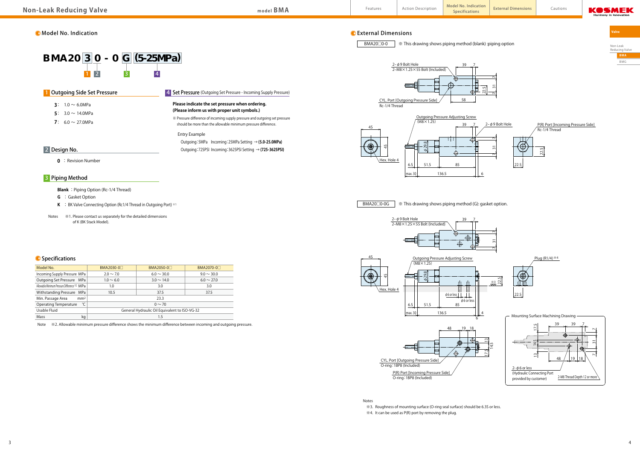#### $\bullet$  Model No. Indication  $\bullet$  External Dimensions

BMG

#### Valve

**BMA** Non-Leak Reducing Valve

3 4





#### **1** Outgoing Side Set Pressure

- **3** :  $1.0 \sim 6.0$ MPa
- 5:  $3.0 \sim 14.0$ MPa
- **7** :  $6.0 \sim 27.0$ MPa

#### **4 Set Pressure** (Outgoing Set Pressure - Incoming Supply Pressure)

Note ※2. Allowable minimum pressure difference shows the minimum difference between incoming and outgoing pressure.

| Model No.                                    | BMA2030-0 <sup>D</sup>                        | BMA2050-0 <sup>D</sup> | BMA2070-0 <sup>D</sup> |  |
|----------------------------------------------|-----------------------------------------------|------------------------|------------------------|--|
| Incoming Supply Pressure MPa                 | $2.0 \sim 7.0$                                | $6.0 \sim 30.0$        | $9.0 \sim 30.0$        |  |
| Outgoing Set Pressure MPa                    | $1.0 \sim 6.0$                                | $3.0 \sim 14.0$        | $6.0 \sim 27.0$        |  |
| Allowable Minimum Pressure Difference *2 MPa | 1.0                                           | 3.0                    | 3.0                    |  |
| Withstanding Pressure MPa                    | 10.5                                          | 37.5                   | 37.5                   |  |
| Min. Passage Area<br>mm <sup>2</sup>         | 23.3                                          |                        |                        |  |
| ℃<br>Operating Temperature                   | $0 \sim 70$                                   |                        |                        |  |
| Usable Fluid                                 | General Hydraulic Oil Equivalent to ISO-VG-32 |                        |                        |  |
| Mass<br>kg<br>1.5                            |                                               |                        |                        |  |

- **G** : Gasket Option
- **K** : BK Valve Connecting Option (Rc1/4 Thread in Outgoing Port)  $*1$
- Notes ※1. Please contact us separately for the detailed dimensions of K (BK Stack Model).

#### **O** Specifications



 **Blank** : Piping Option (Rc-1/4 Thread)

#### Entry Example

 Outgoing:5MPa Incoming:25MPa Setting → **(5.0-25.0MPa)** Outgoing:725PSI Incoming:3625PSI Setting → **(725-3625PSI)**

### 2 Design No.

**0** : Revision Number

#### **3** Piping Method

Notes

- ※3. Roughness of mounting surface (O-ring seal surface) should be 6.3S or less.
- ※4. It can be used as P(R) port by removing the plug.

31 7



#### $BMA20\square 0-0G$   $\longrightarrow$   $\mathbb{R}$  This drawing shows piping method (G): gasket option.



 $\breve{~}$ 









#### **Please indicate the set pressure when ordering. (Please inform us with proper unit symbols.)**

※ Pressure difference of incoming supply pressure and outgoing set pressure should be more than the allowable minimum pressure difference.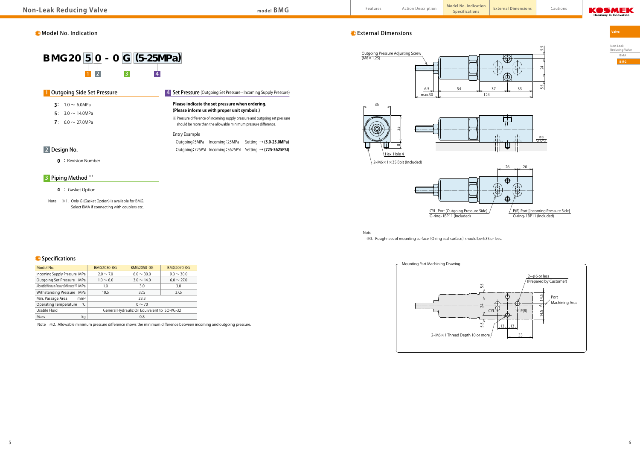$\bullet$  Model No. Indication  $\bullet$  External Dimensions



Valve







#### **1** Outgoing Side Set Pressure

- **3**:  $1.0 \sim 6.0$ MPa
- 5:  $3.0 \sim 14.0$ MPa
- **7** :  $6.0 \sim 27.0 \text{MPa}$

#### 2 Design No.

- **G** : Gasket Option
- Note ※1. Only G (Gasket Option) is available for BMG. Select BMA if connecting with couplers etc.

#### **4 Set Pressure** (Outgoing Set Pressure - Incoming Supply Pressure)

 **0** : Revision Number

#### Note

### 3 Piping Method ※1

※3. Roughness of mounting surface (O ring seal surface) should be 6.3S or less.

#### **O** Specifications

| Model No.                                    | <b>BMG2030-0G</b>                             | BMG2050-0G      | BMG2070-0G      |  |  |
|----------------------------------------------|-----------------------------------------------|-----------------|-----------------|--|--|
| Incoming Supply Pressure MPa                 | $2.0 \sim 7.0$                                | $6.0 \sim 30.0$ | $9.0 \sim 30.0$ |  |  |
| Outgoing Set Pressure MPa                    | $1.0 \sim 6.0$                                | $3.0 \sim 14.0$ | $6.0 \sim 27.0$ |  |  |
| Allowable Minimum Pressure Difference *2 MPa | 1.0                                           | 3.0             | 3.0             |  |  |
| Withstanding Pressure MPa                    | 10.5                                          | 37.5            | 37.5            |  |  |
| Min. Passage Area<br>mm <sup>2</sup>         | 23.3                                          |                 |                 |  |  |
| °C<br><b>Operating Temperature</b>           | $0 \sim 70$                                   |                 |                 |  |  |
| Usable Fluid                                 | General Hydraulic Oil Equivalent to ISO-VG-32 |                 |                 |  |  |
| Mass<br>kq                                   | 0.8                                           |                 |                 |  |  |

Note  $\gg$ 2. Allowable minimum pressure difference shows the minimum difference between incoming and outgoing pressure.

#### **Please indicate the set pressure when ordering. (Please inform us with proper unit symbols.)**

#### Entry Example

|  | Outgoing: 5MPa Incoming: 25MPa | Setting $\rightarrow$ (5.0-25.0MPa)                                  |
|--|--------------------------------|----------------------------------------------------------------------|
|  |                                | Outgoing:725PSI Incoming:3625PSI Setting $\rightarrow$ (725-3625PSI) |

※ Pressure difference of incoming supply pressure and outgoing set pressure should be more than the allowable minimum pressure difference.

2-M6×1×35 Bolt (Included)





## 35 max.30  $\sim$  124 6.5 <u>J</u> 54 J 37 J 33 Outgoing Pressure Adjusting Screw (M8×1.25)







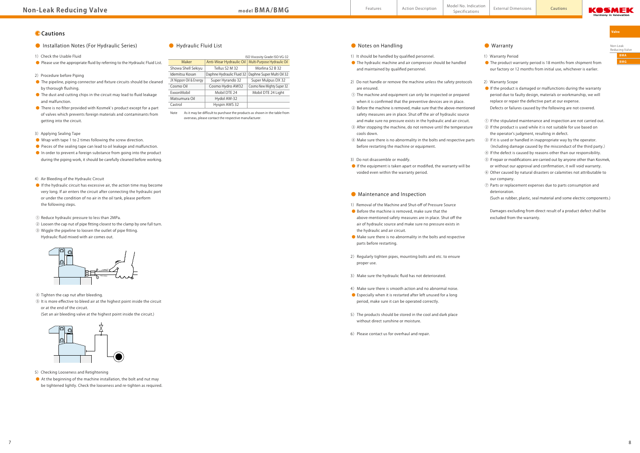

#### Valve





**Features** Action Description Model No. Indication **BMA/BMG** Model No. Indication

#### **O** Cautions

● Installation Notes (For Hydraulic Series) ● Hydraulic Fluid List

1) Check the Usable Fluid

● Please use the appropriate fluid by referring to the Hydraulic Fluid List.

2) Procedure before Piping

- 1) It should be handled by qualified personnel.
- The hydraulic machine and air compressor should be handled and maintained by qualified personnel.
- 2) Do not handle or remove the machine unless the safety protocols are ensured.
- ① The machine and equipment can only be inspected or prepared when it is confirmed that the preventive devices are in place.
- ② Before the machine is removed, make sure that the above-mentioned safety measures are in place. Shut off the air of hydraulic source and make sure no pressure exists in the hydraulic and air circuit.
- ③ After stopping the machine, do not remove until the temperature cools down.
- ④ Make sure there is no abnormality in the bolts and respective parts before restarting the machine or equipment.
- 3) Do not disassemble or modify.
- If the equipment is taken apart or modified, the warranty will be voided even within the warranty period.

#### ● Maintenance and Inspection

- 1) Removal of the Machine and Shut-off of Pressure Source
- Before the machine is removed, make sure that the above-mentioned safety measures are in place. Shut off the air of hydraulic source and make sure no pressure exists in the hydraulic and air circuit.
- Make sure there is no abnormality in the bolts and respective parts before restarting.
- 2) Regularly tighten pipes, mounting bolts and etc. to ensure proper use.
- 3) Make sure the hydraulic fluid has not deteriorated.
- 4) Make sure there is smooth action and no abnormal noise.
- Especially when it is restarted after left unused for a long period, make sure it can be operated correctly.
- 5) The products should be stored in the cool and dark place without direct sunshine or moisture.
- 6) Please contact us for overhaul and repair.
- 1) Warranty Period
- The product warranty period is 18 months from shipment from our factory or 12 months from initial use, whichever is earlier.
- 2) Warranty Scope
- If the product is damaged or malfunctions during the warranty period due to faulty design, materials or workmanship, we will replace or repair the defective part at our expense. Defects or failures caused by the following are not covered.
- ① If the stipulated maintenance and inspection are not carried out.
- ② If the product is used while it is not suitable for use based on the operator's judgment, resulting in defect.
- ③ If it is used or handled in inappropriate way by the operator. (Including damage caused by the misconduct of the third party.)
- ④ If the defect is caused by reasons other than our responsibility.
- ⑤ If repair or modifications are carried out by anyone other than Kosmek, or without our approval and confirmation, it will void warranty.
- ⑥ Other caused by natural disasters or calamities not attributable to our company.
- ⑦ Parts or replacement expenses due to parts consumption and deterioration.
- $\bullet$  The pipeline, piping connector and fixture circuits should be cleaned by thorough flushing.
- The dust and cutting chips in the circuit may lead to fluid leakage and malfunction.
- There is no filter provided with Kosmek's product except for a part of valves which prevents foreign materials and contaminants from getting into the circuit.

3) Applying Sealing Tape

- Wrap with tape 1 to 2 times following the screw direction
- Pieces of the sealing tape can lead to oil leakage and malfunction.
- $\bullet$  In order to prevent a foreign substance from going into the product during the piping work, it should be carefully cleaned before working.

#### 4) Air Bleeding of the Hydraulic Circuit

(Such as rubber, plastic, seal material and some electric components.)

 Damages excluding from direct result of a product defect shall be excluded from the warranty.

 $\bullet$  At the beginning of the machine installation, the bolt and nut may be tightened lightly. Check the looseness and re-tighten as required.

● If the hydraulic circuit has excessive air, the action time may become very long. If air enters the circuit after connecting the hydraulic port or under the condition of no air in the oil tank, please perform the following steps.

① Reduce hydraulic pressure to less than 2MPa.

- ② Loosen the cap nut of pipe fitting closest to the clamp by one full turn.
- ③ Wiggle the pipeline to loosen the outlet of pipe fitting. Hydraulic fluid mixed with air comes out.



④ Tighten the cap nut after bleeding.

 ⑤ It is more effective to bleed air at the highest point inside the circuit or at the end of the circuit.

(Set an air bleeding valve at the highest point inside the circuit.)



5) Checking Looseness and Retightening

|                        |                           | ISO Viscosity Grade ISO-VG-32          |
|------------------------|---------------------------|----------------------------------------|
| Maker                  | Anti-Wear Hydraulic Oil   | Multi-Purpose Hydraulic Oil            |
| Showa Shell Sekiyu     | Tellus S2 M 32            | Morlina S <sub>2</sub> B <sub>32</sub> |
| Idemitsu Kosan         | Daphne Hydraulic Fluid 32 | Daphne Super Multi Oil 32              |
| JX Nippon Oil & Energy | Super Hyrando 32          | Super Mulpus DX 32                     |
| Cosmo Oil              | Cosmo Hydro AW32          | Cosmo New Mighty Super 32              |
| <b>FxxonMobil</b>      | Mobil DTE 24              | Mobil DTE 24 Light                     |
| Matsumura Oil          | Hydol AW-32               |                                        |
| Castrol                | Hyspin AWS 32             |                                        |

Note As it may be difficult to purchase the products as shown in the table from overseas, please contact the respective manufacturer.

#### ● Notes on Handling ● Notes on Handling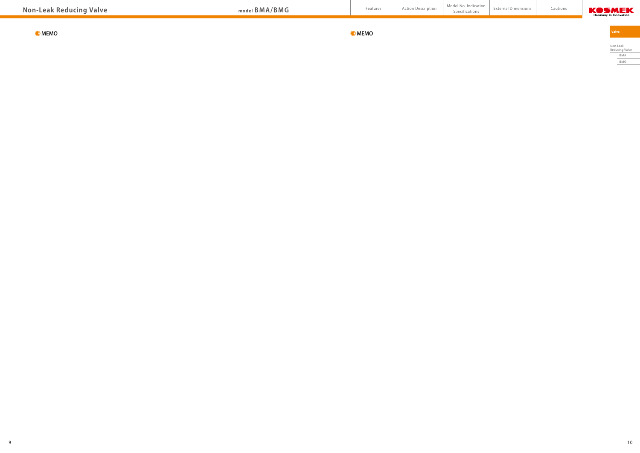BMA BMG

Non-Leak Reducing Valve

Valve

| <b>Non-Leak Reducing Valve</b> | model BMA/BMG | Features      | Action Description | Model No. Indication<br>Specifications | <b>External Dimensions</b> | Cautions |
|--------------------------------|---------------|---------------|--------------------|----------------------------------------|----------------------------|----------|
| <b>O</b> MEMO                  |               | <b>O</b> MEMO |                    |                                        |                            |          |
|                                |               |               |                    |                                        |                            |          |
|                                |               |               |                    |                                        |                            |          |
|                                |               |               |                    |                                        |                            |          |
|                                |               |               |                    |                                        |                            |          |